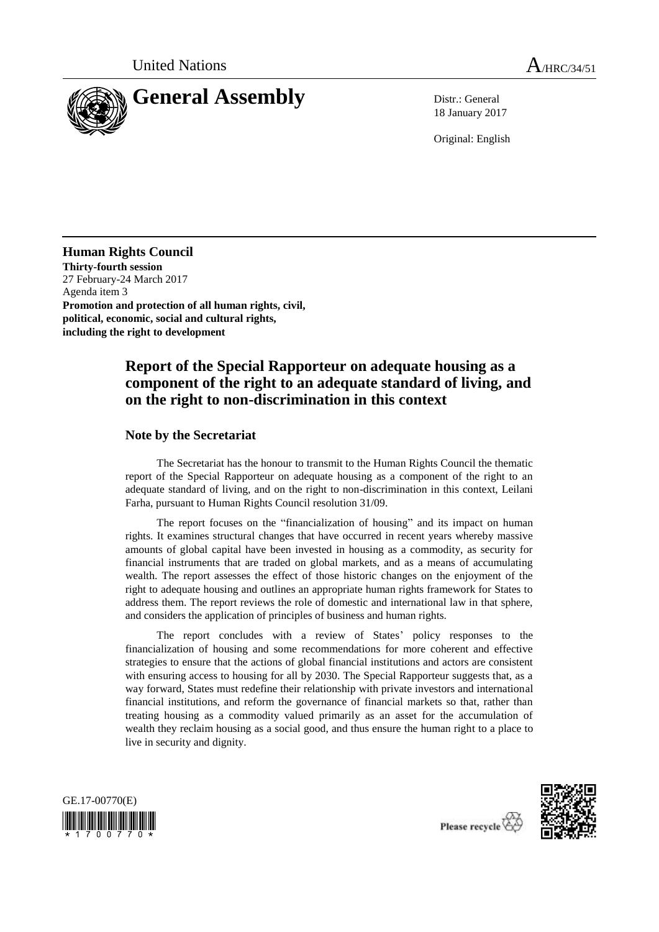

18 January 2017

Original: English

**Human Rights Council Thirty-fourth session** 27 February-24 March 2017 Agenda item 3 **Promotion and protection of all human rights, civil, political, economic, social and cultural rights, including the right to development**

# **Report of the Special Rapporteur on adequate housing as a component of the right to an adequate standard of living, and on the right to non-discrimination in this context**

## **Note by the Secretariat**

The Secretariat has the honour to transmit to the Human Rights Council the thematic report of the Special Rapporteur on adequate housing as a component of the right to an adequate standard of living, and on the right to non-discrimination in this context, Leilani Farha, pursuant to Human Rights Council resolution 31/09.

The report focuses on the "financialization of housing" and its impact on human rights. It examines structural changes that have occurred in recent years whereby massive amounts of global capital have been invested in housing as a commodity, as security for financial instruments that are traded on global markets, and as a means of accumulating wealth. The report assesses the effect of those historic changes on the enjoyment of the right to adequate housing and outlines an appropriate human rights framework for States to address them. The report reviews the role of domestic and international law in that sphere, and considers the application of principles of business and human rights.

The report concludes with a review of States' policy responses to the financialization of housing and some recommendations for more coherent and effective strategies to ensure that the actions of global financial institutions and actors are consistent with ensuring access to housing for all by 2030. The Special Rapporteur suggests that, as a way forward, States must redefine their relationship with private investors and international financial institutions, and reform the governance of financial markets so that, rather than treating housing as a commodity valued primarily as an asset for the accumulation of wealth they reclaim housing as a social good, and thus ensure the human right to a place to live in security and dignity.





Please recycle  $\overleftrightarrow{C}$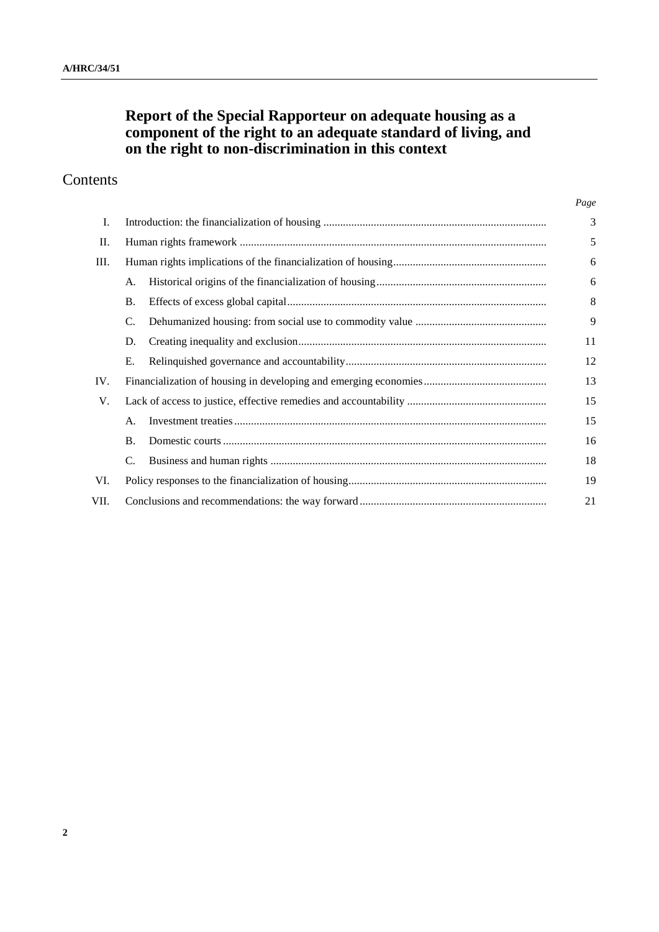# **Report of the Special Rapporteur on adequate housing as a component of the right to an adequate standard of living, and on the right to non-discrimination in this context**

# Contents

|      |           |  | Page |
|------|-----------|--|------|
| Ι.   |           |  | 3    |
| II.  |           |  | 5    |
| Ш.   |           |  | 6    |
|      | А.        |  | 6    |
|      | <b>B.</b> |  | 8    |
|      | C.        |  | 9    |
|      | D.        |  | 11   |
|      | Е.        |  | 12   |
| IV.  |           |  | 13   |
| V.   |           |  | 15   |
|      | А.        |  | 15   |
|      | Β.        |  | 16   |
|      | C.        |  | 18   |
| VI.  |           |  | 19   |
| VII. | 21        |  |      |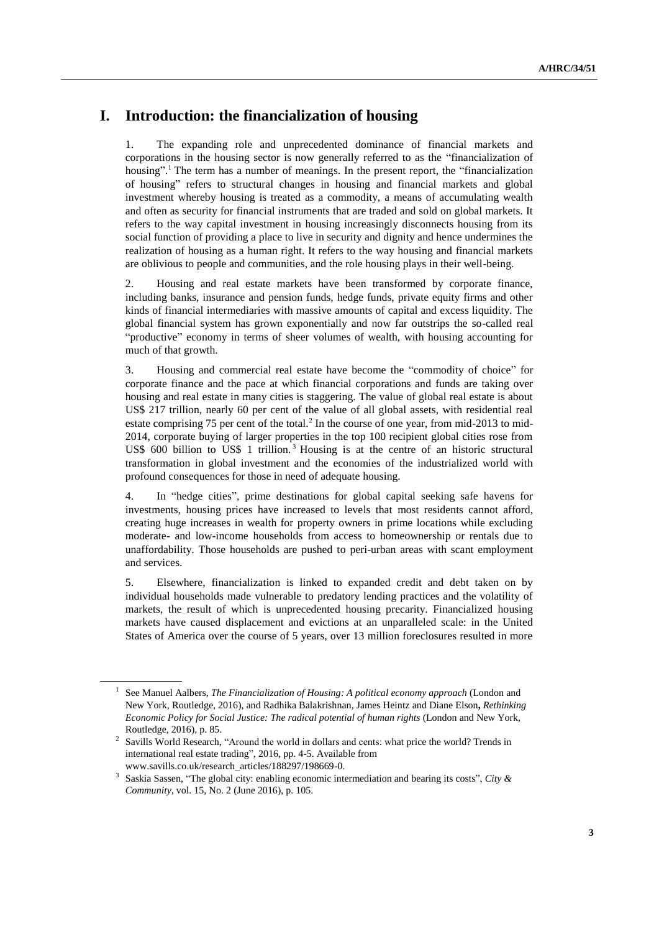# **I. Introduction: the financialization of housing**

1. The expanding role and unprecedented dominance of financial markets and corporations in the housing sector is now generally referred to as the "financialization of housing".<sup>1</sup> The term has a number of meanings. In the present report, the "financialization of housing" refers to structural changes in housing and financial markets and global investment whereby housing is treated as a commodity, a means of accumulating wealth and often as security for financial instruments that are traded and sold on global markets. It refers to the way capital investment in housing increasingly disconnects housing from its social function of providing a place to live in security and dignity and hence undermines the realization of housing as a human right. It refers to the way housing and financial markets are oblivious to people and communities, and the role housing plays in their well-being.

2. Housing and real estate markets have been transformed by corporate finance, including banks, insurance and pension funds, hedge funds, private equity firms and other kinds of financial intermediaries with massive amounts of capital and excess liquidity. The global financial system has grown exponentially and now far outstrips the so-called real "productive" economy in terms of sheer volumes of wealth, with housing accounting for much of that growth.

3. Housing and commercial real estate have become the "commodity of choice" for corporate finance and the pace at which financial corporations and funds are taking over housing and real estate in many cities is staggering. The value of global real estate is about US\$ 217 trillion, nearly 60 per cent of the value of all global assets, with residential real estate comprising 75 per cent of the total. $^2$  In the course of one year, from mid-2013 to mid-2014, corporate buying of larger properties in the top 100 recipient global cities rose from US\$ 600 billion to US\$ 1 trillion.<sup>3</sup> Housing is at the centre of an historic structural transformation in global investment and the economies of the industrialized world with profound consequences for those in need of adequate housing.

4. In "hedge cities", prime destinations for global capital seeking safe havens for investments, housing prices have increased to levels that most residents cannot afford, creating huge increases in wealth for property owners in prime locations while excluding moderate- and low-income households from access to homeownership or rentals due to unaffordability. Those households are pushed to peri-urban areas with scant employment and services.

5. Elsewhere, financialization is linked to expanded credit and debt taken on by individual households made vulnerable to predatory lending practices and the volatility of markets, the result of which is unprecedented housing precarity. Financialized housing markets have caused displacement and evictions at an unparalleled scale: in the United States of America over the course of 5 years, over 13 million foreclosures resulted in more

<sup>&</sup>lt;sup>1</sup> See Manuel Aalbers, *The Financialization of Housing: A political economy approach* (London and New York, Routledge, 2016), and Radhika Balakrishnan, James Heintz and Diane Elson**,** *Rethinking Economic Policy for Social Justice: The radical potential of human rights* (London and New York, Routledge, 2016), p. 85.

<sup>&</sup>lt;sup>2</sup> Savills World Research, "Around the world in dollars and cents: what price the world? Trends in international real estate trading", 2016, pp. 4-5. Available from www.savills.co.uk/research\_articles/188297/198669-0.

<sup>3</sup> Saskia Sassen, "The global city: enabling economic intermediation and bearing its costs", *City & Community*, vol. 15, No. 2 (June 2016), p. 105.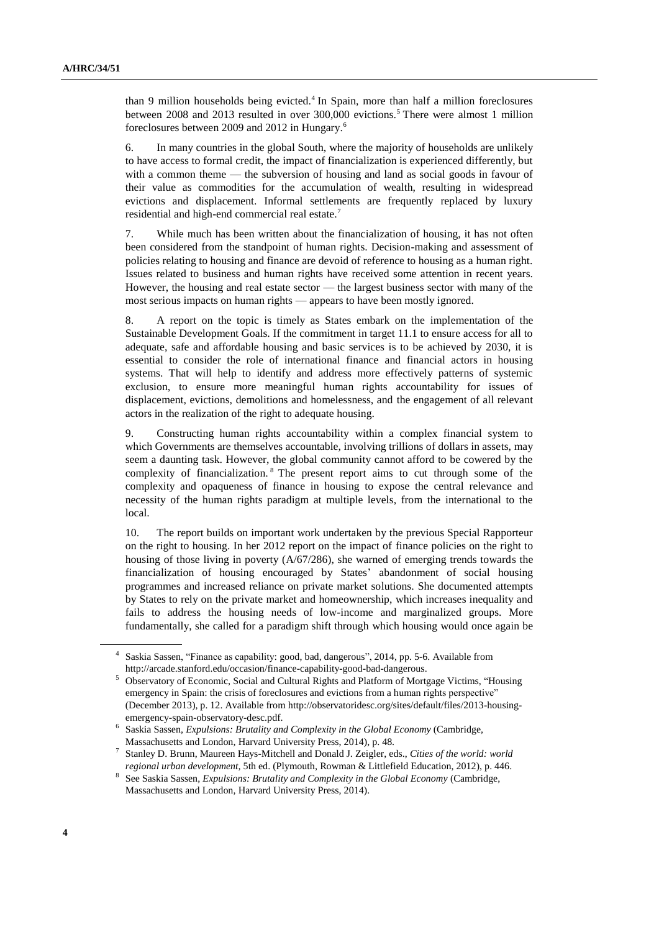than 9 million households being evicted.<sup>4</sup> In Spain, more than half a million foreclosures between 2008 and 2013 resulted in over 300,000 evictions.<sup>5</sup> There were almost 1 million foreclosures between 2009 and 2012 in Hungary.<sup>6</sup>

6. In many countries in the global South, where the majority of households are unlikely to have access to formal credit, the impact of financialization is experienced differently, but with a common theme — the subversion of housing and land as social goods in favour of their value as commodities for the accumulation of wealth, resulting in widespread evictions and displacement. Informal settlements are frequently replaced by luxury residential and high-end commercial real estate.<sup>7</sup>

7. While much has been written about the financialization of housing, it has not often been considered from the standpoint of human rights. Decision-making and assessment of policies relating to housing and finance are devoid of reference to housing as a human right. Issues related to business and human rights have received some attention in recent years. However, the housing and real estate sector — the largest business sector with many of the most serious impacts on human rights — appears to have been mostly ignored.

8. A report on the topic is timely as States embark on the implementation of the Sustainable Development Goals. If the commitment in target 11.1 to ensure access for all to adequate, safe and affordable housing and basic services is to be achieved by 2030, it is essential to consider the role of international finance and financial actors in housing systems. That will help to identify and address more effectively patterns of systemic exclusion, to ensure more meaningful human rights accountability for issues of displacement, evictions, demolitions and homelessness, and the engagement of all relevant actors in the realization of the right to adequate housing.

9. Constructing human rights accountability within a complex financial system to which Governments are themselves accountable, involving trillions of dollars in assets, may seem a daunting task. However, the global community cannot afford to be cowered by the complexity of financialization. <sup>8</sup> The present report aims to cut through some of the complexity and opaqueness of finance in housing to expose the central relevance and necessity of the human rights paradigm at multiple levels, from the international to the local.

10. The report builds on important work undertaken by the previous Special Rapporteur on the right to housing. In her 2012 report on the impact of finance policies on the right to housing of those living in poverty (A/67/286), she warned of emerging trends towards the financialization of housing encouraged by States' abandonment of social housing programmes and increased reliance on private market solutions. She documented attempts by States to rely on the private market and homeownership, which increases inequality and fails to address the housing needs of low-income and marginalized groups. More fundamentally, she called for a paradigm shift through which housing would once again be

<sup>4</sup> Saskia Sassen, "Finance as capability: good, bad, dangerous", 2014, pp. 5-6. Available from http://arcade.stanford.edu/occasion/finance-capability-good-bad-dangerous.

<sup>&</sup>lt;sup>5</sup> Observatory of Economic, Social and Cultural Rights and Platform of Mortgage Victims, "Housing emergency in Spain: the crisis of foreclosures and evictions from a human rights perspective" (December 2013), p. 12. Available from http://observatoridesc.org/sites/default/files/2013-housingemergency-spain-observatory-desc.pdf.

<sup>&</sup>lt;sup>6</sup> Saskia Sassen, *Expulsions: Brutality and Complexity in the Global Economy* (Cambridge, Massachusetts and London, Harvard University Press, 2014), p. 48.

<sup>7</sup> Stanley D. Brunn, Maureen Hays-Mitchell and Donald J. Zeigler, eds., *Cities of the world: world regional urban development,* 5th ed. (Plymouth, Rowman & Littlefield Education, 2012), p. 446.

<sup>&</sup>lt;sup>8</sup> See Saskia Sassen, *Expulsions: Brutality and Complexity in the Global Economy* (Cambridge, Massachusetts and London, Harvard University Press, 2014).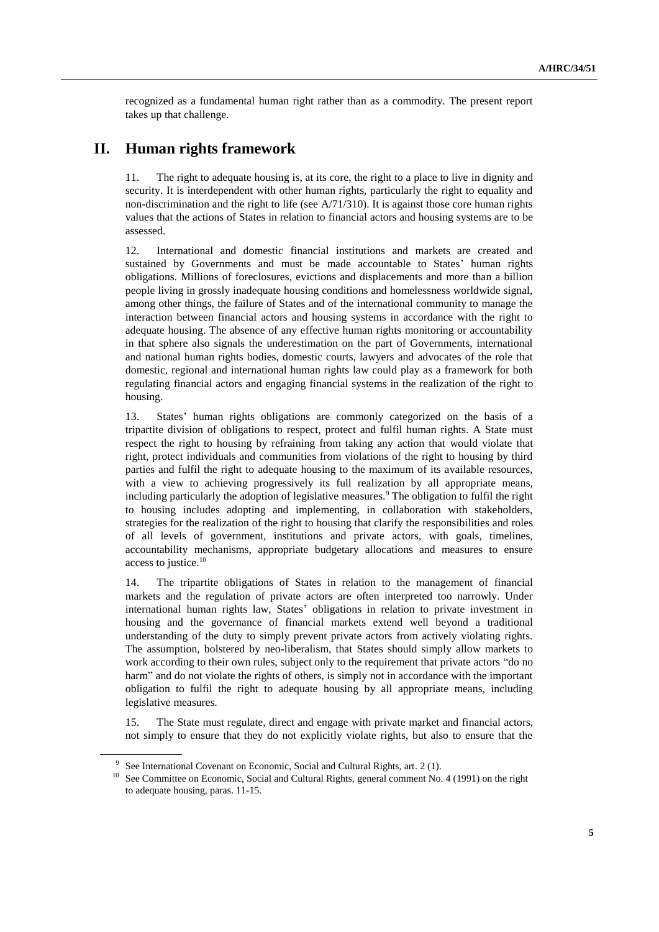recognized as a fundamental human right rather than as a commodity. The present report takes up that challenge.

## **II. Human rights framework**

11. The right to adequate housing is, at its core, the right to a place to live in dignity and security. It is interdependent with other human rights, particularly the right to equality and non-discrimination and the right to life (see  $A/71/310$ ). It is against those core human rights values that the actions of States in relation to financial actors and housing systems are to be assessed.

12. International and domestic financial institutions and markets are created and sustained by Governments and must be made accountable to States' human rights obligations. Millions of foreclosures, evictions and displacements and more than a billion people living in grossly inadequate housing conditions and homelessness worldwide signal, among other things, the failure of States and of the international community to manage the interaction between financial actors and housing systems in accordance with the right to adequate housing. The absence of any effective human rights monitoring or accountability in that sphere also signals the underestimation on the part of Governments, international and national human rights bodies, domestic courts, lawyers and advocates of the role that domestic, regional and international human rights law could play as a framework for both regulating financial actors and engaging financial systems in the realization of the right to housing.

13. States' human rights obligations are commonly categorized on the basis of a tripartite division of obligations to respect, protect and fulfil human rights. A State must respect the right to housing by refraining from taking any action that would violate that right, protect individuals and communities from violations of the right to housing by third parties and fulfil the right to adequate housing to the maximum of its available resources, with a view to achieving progressively its full realization by all appropriate means, including particularly the adoption of legislative measures.<sup>9</sup> The obligation to fulfil the right to housing includes adopting and implementing, in collaboration with stakeholders, strategies for the realization of the right to housing that clarify the responsibilities and roles of all levels of government, institutions and private actors, with goals, timelines, accountability mechanisms, appropriate budgetary allocations and measures to ensure access to justice.<sup>10</sup>

14. The tripartite obligations of States in relation to the management of financial markets and the regulation of private actors are often interpreted too narrowly. Under international human rights law, States' obligations in relation to private investment in housing and the governance of financial markets extend well beyond a traditional understanding of the duty to simply prevent private actors from actively violating rights. The assumption, bolstered by neo-liberalism, that States should simply allow markets to work according to their own rules, subject only to the requirement that private actors "do no harm" and do not violate the rights of others, is simply not in accordance with the important obligation to fulfil the right to adequate housing by all appropriate means, including legislative measures.

15. The State must regulate, direct and engage with private market and financial actors, not simply to ensure that they do not explicitly violate rights, but also to ensure that the

<sup>&</sup>lt;sup>9</sup> See International Covenant on Economic, Social and Cultural Rights, art. 2 (1).

<sup>&</sup>lt;sup>10</sup> See Committee on Economic, Social and Cultural Rights, general comment No. 4 (1991) on the right to adequate housing, paras. 11-15.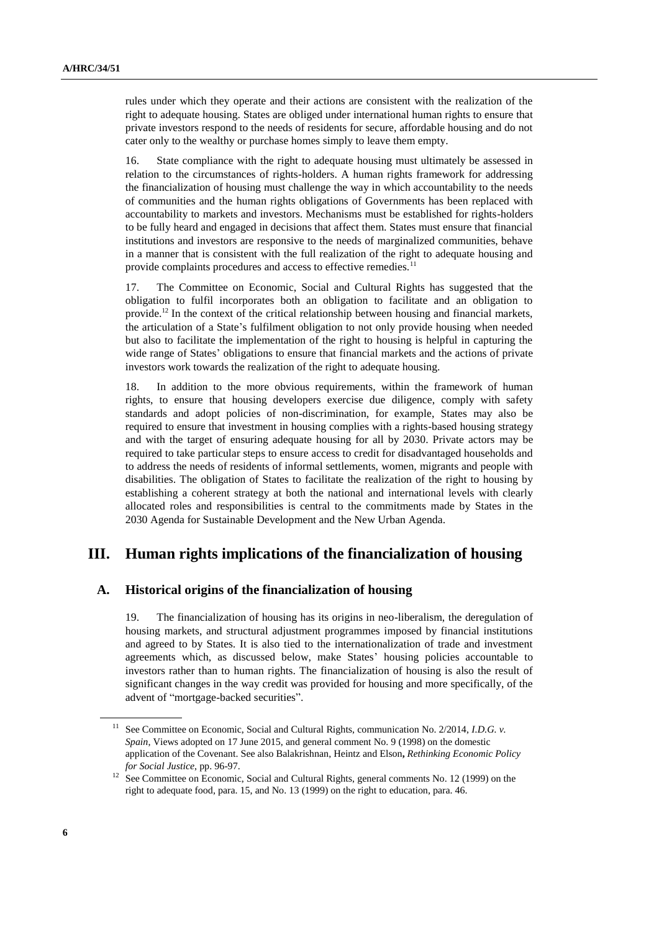rules under which they operate and their actions are consistent with the realization of the right to adequate housing. States are obliged under international human rights to ensure that private investors respond to the needs of residents for secure, affordable housing and do not cater only to the wealthy or purchase homes simply to leave them empty.

16. State compliance with the right to adequate housing must ultimately be assessed in relation to the circumstances of rights-holders. A human rights framework for addressing the financialization of housing must challenge the way in which accountability to the needs of communities and the human rights obligations of Governments has been replaced with accountability to markets and investors. Mechanisms must be established for rights-holders to be fully heard and engaged in decisions that affect them. States must ensure that financial institutions and investors are responsive to the needs of marginalized communities, behave in a manner that is consistent with the full realization of the right to adequate housing and provide complaints procedures and access to effective remedies.<sup>11</sup>

17. The Committee on Economic, Social and Cultural Rights has suggested that the obligation to fulfil incorporates both an obligation to facilitate and an obligation to provide.<sup>12</sup> In the context of the critical relationship between housing and financial markets, the articulation of a State's fulfilment obligation to not only provide housing when needed but also to facilitate the implementation of the right to housing is helpful in capturing the wide range of States' obligations to ensure that financial markets and the actions of private investors work towards the realization of the right to adequate housing.

18. In addition to the more obvious requirements, within the framework of human rights, to ensure that housing developers exercise due diligence, comply with safety standards and adopt policies of non-discrimination, for example, States may also be required to ensure that investment in housing complies with a rights-based housing strategy and with the target of ensuring adequate housing for all by 2030. Private actors may be required to take particular steps to ensure access to credit for disadvantaged households and to address the needs of residents of informal settlements, women, migrants and people with disabilities. The obligation of States to facilitate the realization of the right to housing by establishing a coherent strategy at both the national and international levels with clearly allocated roles and responsibilities is central to the commitments made by States in the 2030 Agenda for Sustainable Development and the New Urban Agenda.

## **III. Human rights implications of the financialization of housing**

#### **A. Historical origins of the financialization of housing**

19. The financialization of housing has its origins in neo-liberalism, the deregulation of housing markets, and structural adjustment programmes imposed by financial institutions and agreed to by States. It is also tied to the internationalization of trade and investment agreements which, as discussed below, make States' housing policies accountable to investors rather than to human rights. The financialization of housing is also the result of significant changes in the way credit was provided for housing and more specifically, of the advent of "mortgage-backed securities".

<sup>11</sup> See Committee on Economic, Social and Cultural Rights, communication No. 2/2014, *I.D.G. v. Spain*, Views adopted on 17 June 2015, and general comment No. 9 (1998) on the domestic application of the Covenant. See also Balakrishnan, Heintz and Elson**,** *Rethinking Economic Policy for Social Justice*, pp. 96-97.

<sup>&</sup>lt;sup>12</sup> See Committee on Economic, Social and Cultural Rights, general comments No. 12 (1999) on the right to adequate food, para. 15, and No. 13 (1999) on the right to education, para. 46.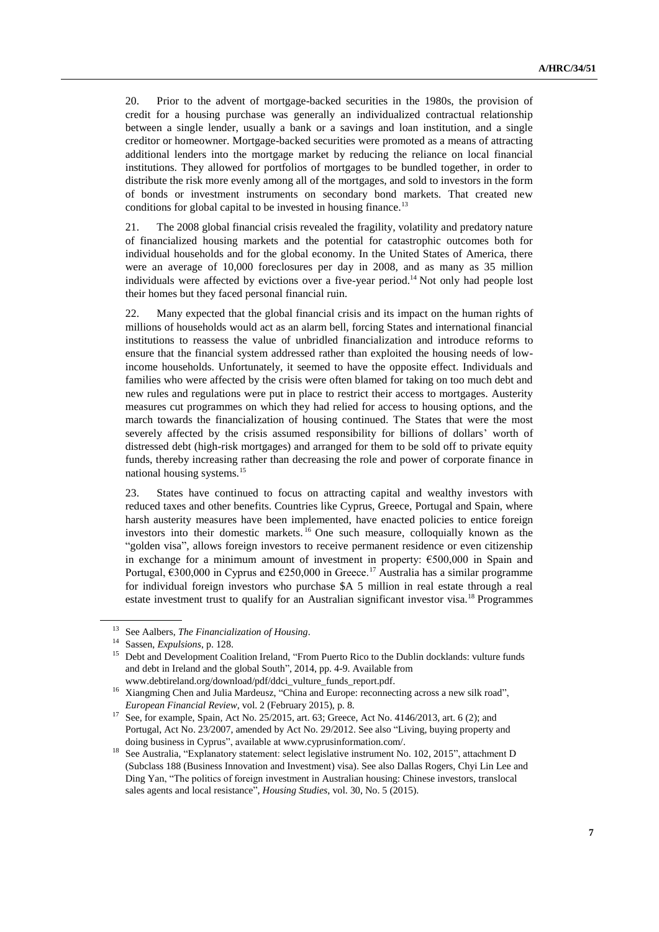20. Prior to the advent of mortgage-backed securities in the 1980s, the provision of credit for a housing purchase was generally an individualized contractual relationship between a single lender, usually a bank or a savings and loan institution, and a single creditor or homeowner. Mortgage-backed securities were promoted as a means of attracting additional lenders into the mortgage market by reducing the reliance on local financial institutions. They allowed for portfolios of mortgages to be bundled together, in order to distribute the risk more evenly among all of the mortgages, and sold to investors in the form of bonds or investment instruments on secondary bond markets. That created new conditions for global capital to be invested in housing finance.<sup>13</sup>

21. The 2008 global financial crisis revealed the fragility, volatility and predatory nature of financialized housing markets and the potential for catastrophic outcomes both for individual households and for the global economy. In the United States of America, there were an average of 10,000 foreclosures per day in 2008, and as many as 35 million individuals were affected by evictions over a five-year period.<sup>14</sup> Not only had people lost their homes but they faced personal financial ruin.

22. Many expected that the global financial crisis and its impact on the human rights of millions of households would act as an alarm bell, forcing States and international financial institutions to reassess the value of unbridled financialization and introduce reforms to ensure that the financial system addressed rather than exploited the housing needs of lowincome households. Unfortunately, it seemed to have the opposite effect. Individuals and families who were affected by the crisis were often blamed for taking on too much debt and new rules and regulations were put in place to restrict their access to mortgages. Austerity measures cut programmes on which they had relied for access to housing options, and the march towards the financialization of housing continued. The States that were the most severely affected by the crisis assumed responsibility for billions of dollars' worth of distressed debt (high-risk mortgages) and arranged for them to be sold off to private equity funds, thereby increasing rather than decreasing the role and power of corporate finance in national housing systems.<sup>15</sup>

23. States have continued to focus on attracting capital and wealthy investors with reduced taxes and other benefits. Countries like Cyprus, Greece, Portugal and Spain, where harsh austerity measures have been implemented, have enacted policies to entice foreign investors into their domestic markets. <sup>16</sup> One such measure, colloquially known as the "golden visa", allows foreign investors to receive permanent residence or even citizenship in exchange for a minimum amount of investment in property: €500,000 in Spain and Portugal,  $\epsilon$ 300,000 in Cyprus and  $\epsilon$ 250,000 in Greece.<sup>17</sup> Australia has a similar programme for individual foreign investors who purchase \$A 5 million in real estate through a real estate investment trust to qualify for an Australian significant investor visa.<sup>18</sup> Programmes

<sup>13</sup> See Aalbers, *The Financialization of Housing*.

<sup>14</sup> Sassen, *Expulsions*, p. 128.

<sup>&</sup>lt;sup>15</sup> Debt and Development Coalition Ireland, "From Puerto Rico to the Dublin docklands: vulture funds and debt in Ireland and the global South", 2014, pp. 4-9. Available from www.debtireland.org/download/pdf/ddci\_vulture\_funds\_report.pdf.

<sup>&</sup>lt;sup>16</sup> Xiangming Chen and Julia Mardeusz, "China and Europe: reconnecting across a new silk road", *European Financial Review*, vol. 2 (February 2015), p. 8.

See, for example, Spain, Act No. 25/2015, art. 63; Greece, Act No. 4146/2013, art. 6 (2); and Portugal, Act No. 23/2007, amended by Act No. 29/2012. See also "Living, buying property and doing business in Cyprus", available at www.cyprusinformation.com/.

<sup>18</sup> See Australia, "Explanatory statement: select legislative instrument No. 102, 2015", attachment D (Subclass 188 (Business Innovation and Investment) visa). See also Dallas Rogers, Chyi Lin Lee and Ding Yan, "The politics of foreign investment in Australian housing: Chinese investors, translocal sales agents and local resistance", *Housing Studies*, vol. 30, No. 5 (2015).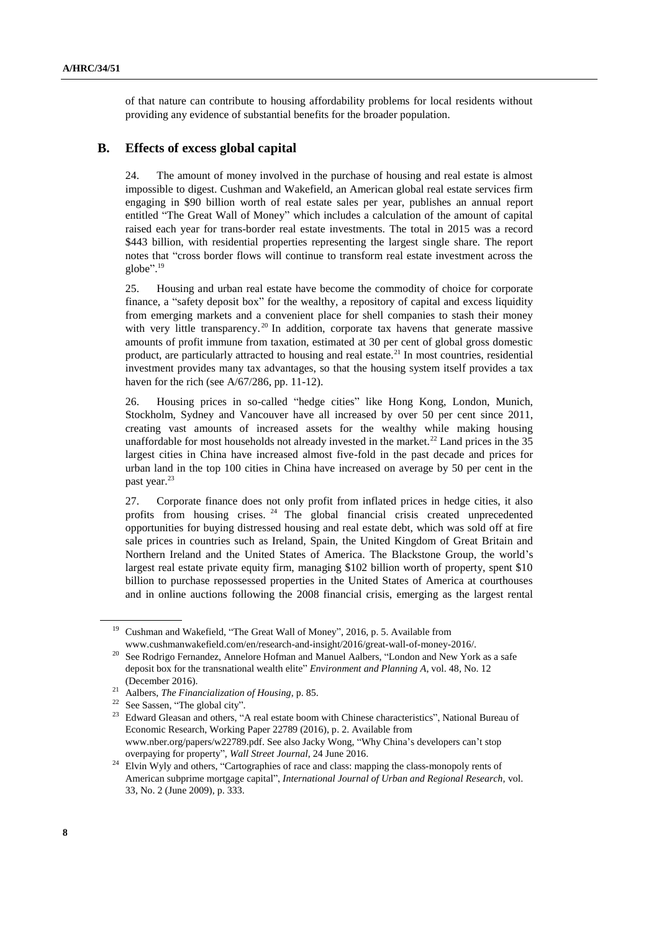of that nature can contribute to housing affordability problems for local residents without providing any evidence of substantial benefits for the broader population.

### **B. Effects of excess global capital**

24. The amount of money involved in the purchase of housing and real estate is almost impossible to digest. Cushman and Wakefield, an American global real estate services firm engaging in \$90 billion worth of real estate sales per year, publishes an annual report entitled "The Great Wall of Money" which includes a calculation of the amount of capital raised each year for trans-border real estate investments. The total in 2015 was a record \$443 billion, with residential properties representing the largest single share. The report notes that "cross border flows will continue to transform real estate investment across the globe". 19

25. Housing and urban real estate have become the commodity of choice for corporate finance, a "safety deposit box" for the wealthy, a repository of capital and excess liquidity from emerging markets and a convenient place for shell companies to stash their money with very little transparency.<sup>20</sup> In addition, corporate tax havens that generate massive amounts of profit immune from taxation, estimated at 30 per cent of global gross domestic product, are particularly attracted to housing and real estate.<sup>21</sup> In most countries, residential investment provides many tax advantages, so that the housing system itself provides a tax haven for the rich (see A/67/286, pp. 11-12).

26. Housing prices in so-called "hedge cities" like Hong Kong, London, Munich, Stockholm, Sydney and Vancouver have all increased by over 50 per cent since 2011, creating vast amounts of increased assets for the wealthy while making housing unaffordable for most households not already invested in the market.<sup>22</sup> Land prices in the 35 largest cities in China have increased almost five-fold in the past decade and prices for urban land in the top 100 cities in China have increased on average by 50 per cent in the past year.<sup>23</sup>

27. Corporate finance does not only profit from inflated prices in hedge cities, it also profits from housing crises. <sup>24</sup> The global financial crisis created unprecedented opportunities for buying distressed housing and real estate debt, which was sold off at fire sale prices in countries such as Ireland, Spain, the United Kingdom of Great Britain and Northern Ireland and the United States of America. The Blackstone Group, the world's largest real estate private equity firm, managing \$102 billion worth of property, spent \$10 billion to purchase repossessed properties in the United States of America at courthouses and in online auctions following the 2008 financial crisis, emerging as the largest rental

<sup>&</sup>lt;sup>19</sup> Cushman and Wakefield, "The Great Wall of Money", 2016, p. 5. Available from www.cushmanwakefield.com/en/research-and-insight/2016/great-wall-of-money-2016/.

<sup>&</sup>lt;sup>20</sup> See Rodrigo Fernandez, Annelore Hofman and Manuel Aalbers, "London and New York as a safe deposit box for the transnational wealth elite" *Environment and Planning A*, vol. 48, No. 12 (December 2016).

<sup>21</sup> Aalbers, *The Financialization of Housing*, p. 85.

<sup>&</sup>lt;sup>22</sup> See Sassen, "The global city".

Edward Gleasan and others, "A real estate boom with Chinese characteristics", National Bureau of Economic Research, Working Paper 22789 (2016), p. 2. Available from [www.nber.org/papers/w22789.pdf.](http://www.nber.org/papers/w22789.pdf) See also Jacky Wong, "Why China's developers can't stop overpaying for property", *Wall Street Journal*, 24 June 2016.

<sup>&</sup>lt;sup>24</sup> Elvin Wyly and others, "Cartographies of race and class: mapping the class-monopoly rents of American subprime mortgage capital", *International Journal of Urban and Regional Research,* vol. 33, No. 2 (June 2009), p. 333.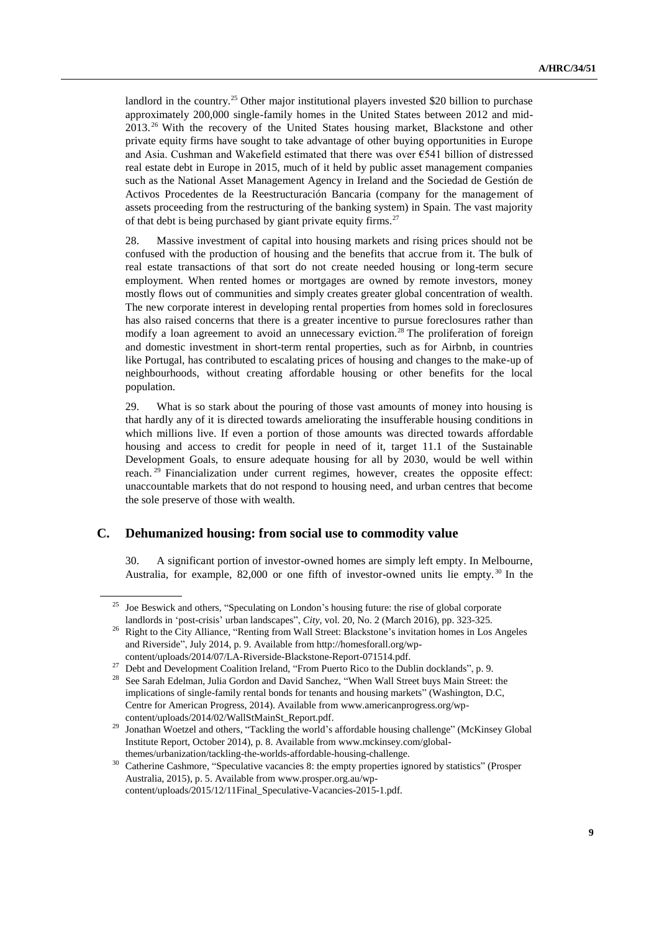landlord in the country.<sup>25</sup> Other major institutional players invested \$20 billion to purchase approximately 200,000 single-family homes in the United States between 2012 and mid-2013. <sup>26</sup> With the recovery of the United States housing market, Blackstone and other private equity firms have sought to take advantage of other buying opportunities in Europe and Asia. Cushman and Wakefield estimated that there was over €541 billion of distressed real estate debt in Europe in 2015, much of it held by public asset management companies such as the National Asset Management Agency in Ireland and the Sociedad de Gestión de Activos Procedentes de la Reestructuración Bancaria (company for the management of assets proceeding from the restructuring of the banking system) in Spain. The vast majority of that debt is being purchased by giant private equity firms.<sup>27</sup>

28. Massive investment of capital into housing markets and rising prices should not be confused with the production of housing and the benefits that accrue from it. The bulk of real estate transactions of that sort do not create needed housing or long-term secure employment. When rented homes or mortgages are owned by remote investors, money mostly flows out of communities and simply creates greater global concentration of wealth. The new corporate interest in developing rental properties from homes sold in foreclosures has also raised concerns that there is a greater incentive to pursue foreclosures rather than modify a loan agreement to avoid an unnecessary eviction.<sup>28</sup> The proliferation of foreign and domestic investment in short-term rental properties, such as for Airbnb, in countries like Portugal, has contributed to escalating prices of housing and changes to the make-up of neighbourhoods, without creating affordable housing or other benefits for the local population.

29. What is so stark about the pouring of those vast amounts of money into housing is that hardly any of it is directed towards ameliorating the insufferable housing conditions in which millions live. If even a portion of those amounts was directed towards affordable housing and access to credit for people in need of it, target 11.1 of the Sustainable Development Goals, to ensure adequate housing for all by 2030, would be well within reach. <sup>29</sup> Financialization under current regimes, however, creates the opposite effect: unaccountable markets that do not respond to housing need, and urban centres that become the sole preserve of those with wealth.

### **C. Dehumanized housing: from social use to commodity value**

30. A significant portion of investor-owned homes are simply left empty. In Melbourne, Australia, for example,  $82,000$  or one fifth of investor-owned units lie empty.<sup>30</sup> In the

<sup>&</sup>lt;sup>25</sup> Joe Beswick and others, "Speculating on London's housing future: the rise of global corporate landlords in 'post-crisis' urban landscapes", *City*, vol. 20, No. 2 (March 2016), pp. 323-325.

<sup>&</sup>lt;sup>26</sup> Right to the City Alliance, "Renting from Wall Street: Blackstone's invitation homes in Los Angeles and Riverside", July 2014, p. 9. Available from http://homesforall.org/wpcontent/uploads/2014/07/LA-Riverside-Blackstone-Report-071514.pdf.

<sup>&</sup>lt;sup>27</sup> Debt and Development Coalition Ireland, "From Puerto Rico to the Dublin docklands", p. 9.

<sup>&</sup>lt;sup>28</sup> See Sarah Edelman, Julia Gordon and David Sanchez, "When Wall Street buys Main Street: the implications of single-family rental bonds for tenants and housing markets" (Washington, D.C, Centre for American Progress, 2014). Available from www.americanprogress.org/wpcontent/uploads/2014/02/WallStMainSt\_Report.pdf.

<sup>&</sup>lt;sup>29</sup> Jonathan Woetzel and others, "Tackling the world's affordable housing challenge" (McKinsey Global Institute Report, October 2014), p. 8. Available from www.mckinsey.com/globalthemes/urbanization/tackling-the-worlds-affordable-housing-challenge.

<sup>&</sup>lt;sup>30</sup> Catherine Cashmore, "Speculative vacancies 8: the empty properties ignored by statistics" (Prosper Australia, 2015), p. 5. Available from [www.prosper.org.au/wp](file:///C:/Users/isomova/AppData/Local/Temp/www.prosper.org.au/wp-content/uploads/2015/12/11Final_Speculative-Vacancies-2015-1.pdf)[content/uploads/2015/12/11Final\\_Speculative-Vacancies-2015-1.pdf.](file:///C:/Users/isomova/AppData/Local/Temp/www.prosper.org.au/wp-content/uploads/2015/12/11Final_Speculative-Vacancies-2015-1.pdf)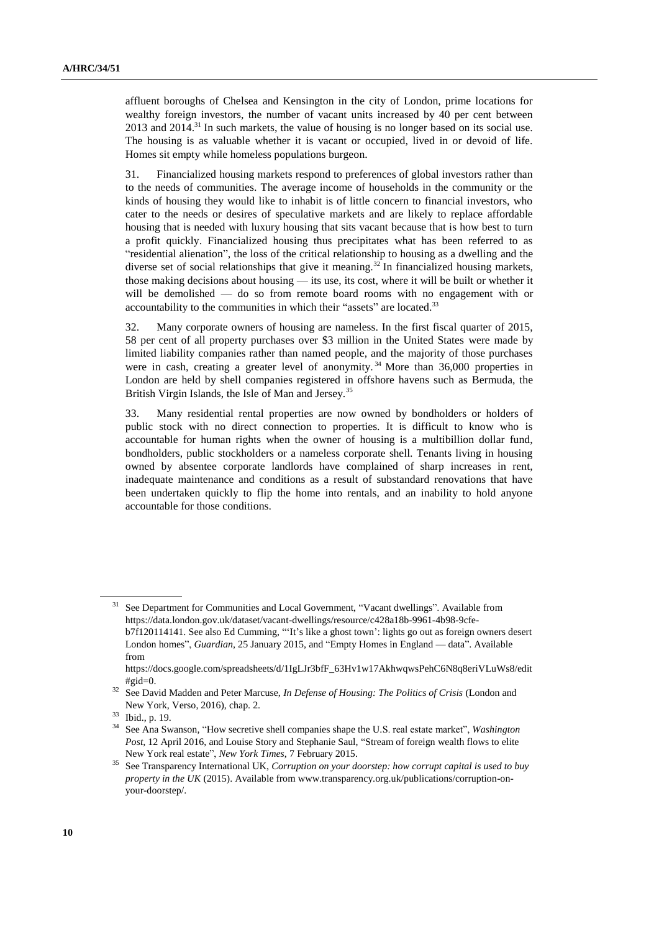affluent boroughs of Chelsea and Kensington in the city of London, prime locations for wealthy foreign investors, the number of vacant units increased by 40 per cent between  $2013$  and  $2014$ .<sup>31</sup> In such markets, the value of housing is no longer based on its social use. The housing is as valuable whether it is vacant or occupied, lived in or devoid of life. Homes sit empty while homeless populations burgeon.

31. Financialized housing markets respond to preferences of global investors rather than to the needs of communities. The average income of households in the community or the kinds of housing they would like to inhabit is of little concern to financial investors, who cater to the needs or desires of speculative markets and are likely to replace affordable housing that is needed with luxury housing that sits vacant because that is how best to turn a profit quickly. Financialized housing thus precipitates what has been referred to as "residential alienation", the loss of the critical relationship to housing as a dwelling and the diverse set of social relationships that give it meaning.<sup>32</sup> In financialized housing markets, those making decisions about housing — its use, its cost, where it will be built or whether it will be demolished — do so from remote board rooms with no engagement with or accountability to the communities in which their "assets" are located.<sup>33</sup>

32. Many corporate owners of housing are nameless. In the first fiscal quarter of 2015, 58 per cent of all property purchases over \$3 million in the United States were made by limited liability companies rather than named people, and the majority of those purchases were in cash, creating a greater level of anonymity.<sup>34</sup> More than  $36,000$  properties in London are held by shell companies registered in offshore havens such as Bermuda, the British Virgin Islands, the Isle of Man and Jersey.<sup>35</sup>

33. Many residential rental properties are now owned by bondholders or holders of public stock with no direct connection to properties. It is difficult to know who is accountable for human rights when the owner of housing is a multibillion dollar fund, bondholders, public stockholders or a nameless corporate shell. Tenants living in housing owned by absentee corporate landlords have complained of sharp increases in rent, inadequate maintenance and conditions as a result of substandard renovations that have been undertaken quickly to flip the home into rentals, and an inability to hold anyone accountable for those conditions.

<sup>31</sup> See Department for Communities and Local Government, "Vacant dwellings". Available from [https://data.london.gov.uk/dataset/vacant-dwellings/resource/c428a18b-9961-4b98-9cfe](https://data.london.gov.uk/dataset/vacant-dwellings/resource/c428a18b-9961-4b98-9cfe-b7f120114141)[b7f120114141.](https://data.london.gov.uk/dataset/vacant-dwellings/resource/c428a18b-9961-4b98-9cfe-b7f120114141) See also Ed Cumming, "'It's like a ghost town': lights go out as foreign owners desert London homes", *Guardian*, 25 January 2015, and "Empty Homes in England — data". Available from

https://docs.google.com/spreadsheets/d/1IgLJr3bfF\_63Hv1w17AkhwqwsPehC6N8q8eriVLuWs8/edit  $#$ gid $=0$ .

<sup>32</sup> See David Madden and Peter Marcuse, *In Defense of Housing: The Politics of Crisis* (London and New York, Verso, 2016), chap. 2.

<sup>33</sup> Ibid., p. 19.

<sup>34</sup> See Ana Swanson, "How secretive shell companies shape the U.S. real estate market", *Washington Post*, 12 April 2016, and Louise Story and Stephanie Saul, "Stream of foreign wealth flows to elite New York real estate", *New York Times*, 7 February 2015.

<sup>35</sup> See Transparency International UK, *Corruption on your doorstep: how corrupt capital is used to buy property in the UK* (2015). Available from www.transparency.org.uk/publications/corruption-onyour-doorstep/.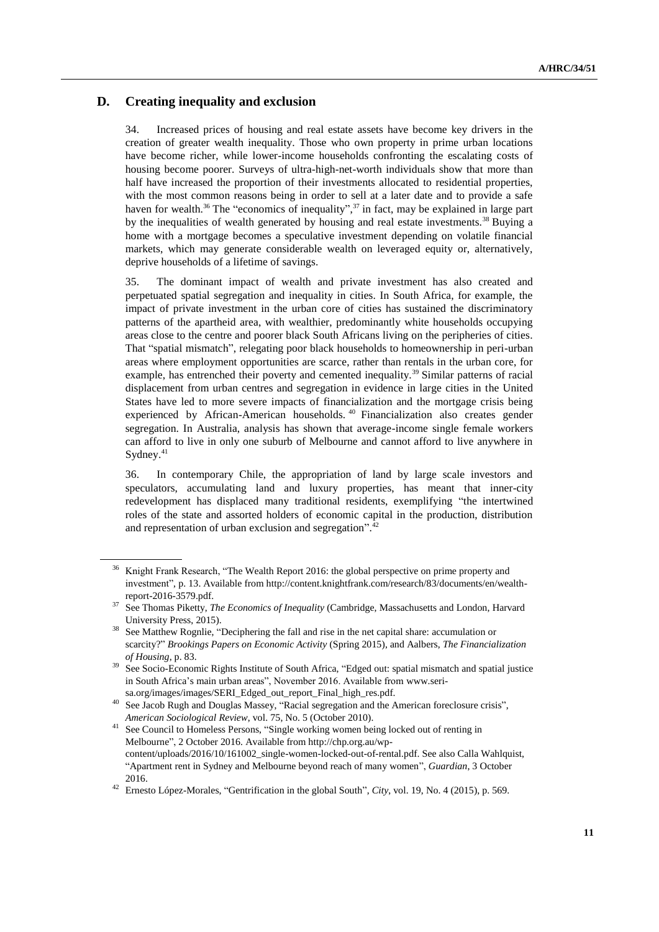## **D. Creating inequality and exclusion**

34. Increased prices of housing and real estate assets have become key drivers in the creation of greater wealth inequality. Those who own property in prime urban locations have become richer, while lower-income households confronting the escalating costs of housing become poorer. Surveys of ultra-high-net-worth individuals show that more than half have increased the proportion of their investments allocated to residential properties, with the most common reasons being in order to sell at a later date and to provide a safe haven for wealth.<sup>36</sup> The "economics of inequality",<sup>37</sup> in fact, may be explained in large part by the inequalities of wealth generated by housing and real estate investments.<sup>38</sup> Buying a home with a mortgage becomes a speculative investment depending on volatile financial markets, which may generate considerable wealth on leveraged equity or, alternatively, deprive households of a lifetime of savings.

35. The dominant impact of wealth and private investment has also created and perpetuated spatial segregation and inequality in cities. In South Africa, for example, the impact of private investment in the urban core of cities has sustained the discriminatory patterns of the apartheid area, with wealthier, predominantly white households occupying areas close to the centre and poorer black South Africans living on the peripheries of cities. That "spatial mismatch", relegating poor black households to homeownership in peri-urban areas where employment opportunities are scarce, rather than rentals in the urban core, for example, has entrenched their poverty and cemented inequality.<sup>39</sup> Similar patterns of racial displacement from urban centres and segregation in evidence in large cities in the United States have led to more severe impacts of financialization and the mortgage crisis being experienced by African-American households. <sup>40</sup> Financialization also creates gender segregation. In Australia, analysis has shown that average-income single female workers can afford to live in only one suburb of Melbourne and cannot afford to live anywhere in Sydney.<sup>41</sup>

36. In contemporary Chile, the appropriation of land by large scale investors and speculators, accumulating land and luxury properties, has meant that inner-city redevelopment has displaced many traditional residents, exemplifying "the intertwined roles of the state and assorted holders of economic capital in the production, distribution and representation of urban exclusion and segregation".<sup>42</sup>

<sup>&</sup>lt;sup>36</sup> Knight Frank Research, "The Wealth Report 2016: the global perspective on prime property and investment", p. 13. Available from http://content.knightfrank.com/research/83/documents/en/wealthreport-2016-3579.pdf.

<sup>&</sup>lt;sup>37</sup> See Thomas Piketty, *The Economics of Inequality* (Cambridge, Massachusetts and London, Harvard University Press, 2015).

<sup>&</sup>lt;sup>38</sup> See Matthew Rognlie, "Deciphering the fall and rise in the net capital share: accumulation or scarcity?" *Brookings Papers on Economic Activity* (Spring 2015), and Aalbers, *The Financialization of Housing*, p. 83.

<sup>&</sup>lt;sup>39</sup> See Socio-Economic Rights Institute of South Africa, "Edged out: spatial mismatch and spatial justice in South Africa's main urban areas", November 2016. Available from www.serisa.org/images/images/SERI\_Edged\_out\_report\_Final\_high\_res.pdf.

<sup>&</sup>lt;sup>40</sup> See Jacob Rugh and Douglas Massey, "Racial segregation and the American foreclosure crisis", *American Sociological Review*, vol. 75, No. 5 (October 2010).

<sup>41</sup> See Council to Homeless Persons, "Single working women being locked out of renting in Melbourne", 2 October 2016. Available from [http://chp.org.au/wp](http://chp.org.au/wp-content/uploads/2016/10/161002_single-women-locked-out-of-rental.pdf)[content/uploads/2016/10/161002\\_single-women-locked-out-of-rental.pdf.](http://chp.org.au/wp-content/uploads/2016/10/161002_single-women-locked-out-of-rental.pdf) See also Calla Wahlquist, "Apartment rent in Sydney and Melbourne beyond reach of many women", *Guardian*, 3 October 2016.

<sup>42</sup> Ernesto López-Morales, "Gentrification in the global South", *City*, vol. 19, No. 4 (2015), p. 569.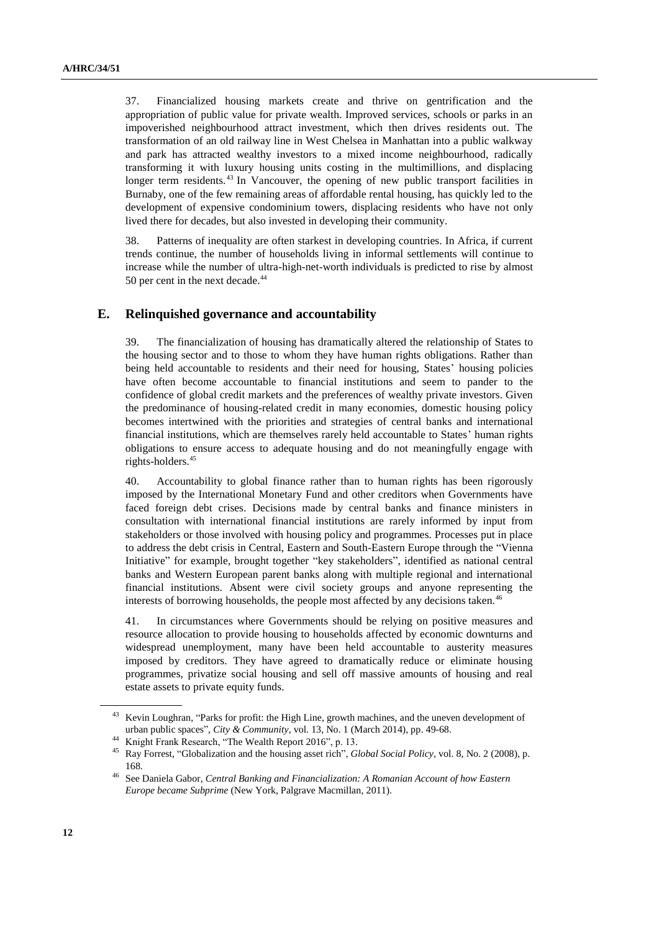37. Financialized housing markets create and thrive on gentrification and the appropriation of public value for private wealth. Improved services, schools or parks in an impoverished neighbourhood attract investment, which then drives residents out. The transformation of an old railway line in West Chelsea in Manhattan into a public walkway and park has attracted wealthy investors to a mixed income neighbourhood, radically transforming it with luxury housing units costing in the multimillions, and displacing longer term residents.<sup>43</sup> In Vancouver, the opening of new public transport facilities in Burnaby, one of the few remaining areas of affordable rental housing, has quickly led to the development of expensive condominium towers, displacing residents who have not only lived there for decades, but also invested in developing their community.

38. Patterns of inequality are often starkest in developing countries. In Africa, if current trends continue, the number of households living in informal settlements will continue to increase while the number of ultra-high-net-worth individuals is predicted to rise by almost 50 per cent in the next decade.<sup>44</sup>

### **E. Relinquished governance and accountability**

39. The financialization of housing has dramatically altered the relationship of States to the housing sector and to those to whom they have human rights obligations. Rather than being held accountable to residents and their need for housing, States' housing policies have often become accountable to financial institutions and seem to pander to the confidence of global credit markets and the preferences of wealthy private investors. Given the predominance of housing-related credit in many economies, domestic housing policy becomes intertwined with the priorities and strategies of central banks and international financial institutions, which are themselves rarely held accountable to States' human rights obligations to ensure access to adequate housing and do not meaningfully engage with rights-holders.<sup>45</sup>

40. Accountability to global finance rather than to human rights has been rigorously imposed by the International Monetary Fund and other creditors when Governments have faced foreign debt crises. Decisions made by central banks and finance ministers in consultation with international financial institutions are rarely informed by input from stakeholders or those involved with housing policy and programmes. Processes put in place to address the debt crisis in Central, Eastern and South-Eastern Europe through the "Vienna Initiative" for example, brought together "key stakeholders", identified as national central banks and Western European parent banks along with multiple regional and international financial institutions. Absent were civil society groups and anyone representing the interests of borrowing households, the people most affected by any decisions taken.<sup>46</sup>

41. In circumstances where Governments should be relying on positive measures and resource allocation to provide housing to households affected by economic downturns and widespread unemployment, many have been held accountable to austerity measures imposed by creditors. They have agreed to dramatically reduce or eliminate housing programmes, privatize social housing and sell off massive amounts of housing and real estate assets to private equity funds.

<sup>43</sup> Kevin Loughran, "Parks for profit: the High Line, growth machines, and the uneven development of urban public spaces", *City & Community*, vol. 13, No. 1 (March 2014), pp. 49-68.

<sup>44</sup> Knight Frank Research, "The Wealth Report 2016", p. 13.

<sup>45</sup> Ray Forrest, "Globalization and the housing asset rich", *Global Social Policy*, vol. 8, No. 2 (2008), p. 168.

<sup>46</sup> See Daniela Gabor, *Central Banking and Financialization: A Romanian Account of how Eastern Europe became Subprime* (New York, Palgrave Macmillan, 2011).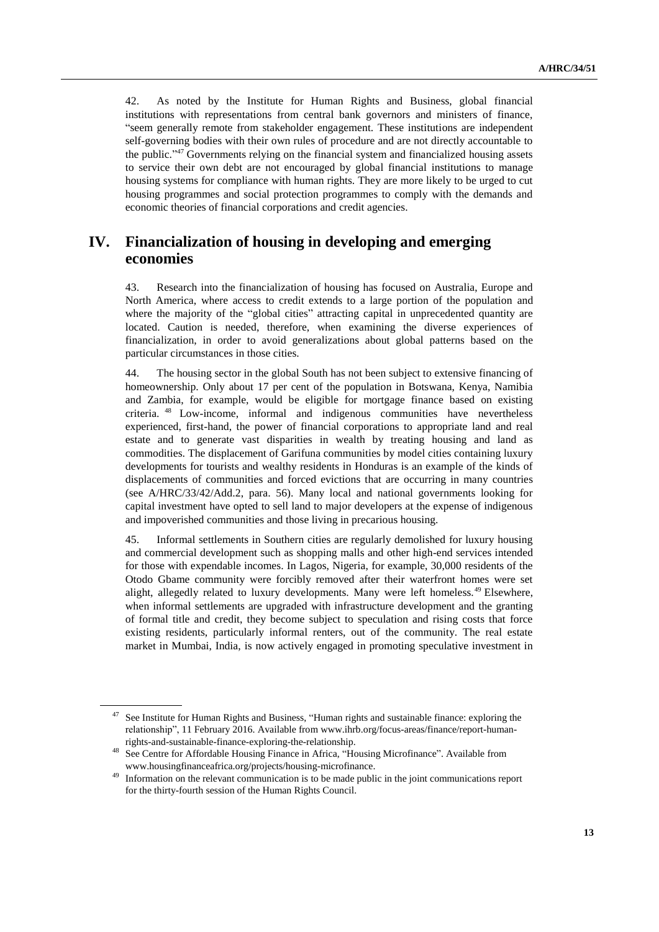42. As noted by the Institute for Human Rights and Business, global financial institutions with representations from central bank governors and ministers of finance, "seem generally remote from stakeholder engagement. These institutions are independent self-governing bodies with their own rules of procedure and are not directly accountable to the public."<sup>47</sup> Governments relying on the financial system and financialized housing assets to service their own debt are not encouraged by global financial institutions to manage housing systems for compliance with human rights. They are more likely to be urged to cut housing programmes and social protection programmes to comply with the demands and economic theories of financial corporations and credit agencies.

## **IV. Financialization of housing in developing and emerging economies**

43. Research into the financialization of housing has focused on Australia, Europe and North America, where access to credit extends to a large portion of the population and where the majority of the "global cities" attracting capital in unprecedented quantity are located. Caution is needed, therefore, when examining the diverse experiences of financialization, in order to avoid generalizations about global patterns based on the particular circumstances in those cities.

44. The housing sector in the global South has not been subject to extensive financing of homeownership. Only about 17 per cent of the population in Botswana, Kenya, Namibia and Zambia, for example, would be eligible for mortgage finance based on existing criteria. <sup>48</sup> Low-income, informal and indigenous communities have nevertheless experienced, first-hand, the power of financial corporations to appropriate land and real estate and to generate vast disparities in wealth by treating housing and land as commodities. The displacement of Garifuna communities by model cities containing luxury developments for tourists and wealthy residents in Honduras is an example of the kinds of displacements of communities and forced evictions that are occurring in many countries (see A/HRC/33/42/Add.2, para. 56). Many local and national governments looking for capital investment have opted to sell land to major developers at the expense of indigenous and impoverished communities and those living in precarious housing.

45. Informal settlements in Southern cities are regularly demolished for luxury housing and commercial development such as shopping malls and other high-end services intended for those with expendable incomes. In Lagos, Nigeria, for example, 30,000 residents of the Otodo Gbame community were forcibly removed after their waterfront homes were set alight, allegedly related to luxury developments. Many were left homeless.<sup>49</sup> Elsewhere, when informal settlements are upgraded with infrastructure development and the granting of formal title and credit, they become subject to speculation and rising costs that force existing residents, particularly informal renters, out of the community. The real estate market in Mumbai, India, is now actively engaged in promoting speculative investment in

See Institute for Human Rights and Business, "Human rights and sustainable finance: exploring the relationship", 11 February 2016. Available from www.ihrb.org/focus-areas/finance/report-humanrights-and-sustainable-finance-exploring-the-relationship.

See Centre for Affordable Housing Finance in Africa, "Housing Microfinance". Available from [www.housingfinanceafrica.org/projects/housing-microfinance.](http://www.housingfinanceafrica.org/projects/housing-microfinance)

Information on the relevant communication is to be made public in the joint communications report for the thirty-fourth session of the Human Rights Council.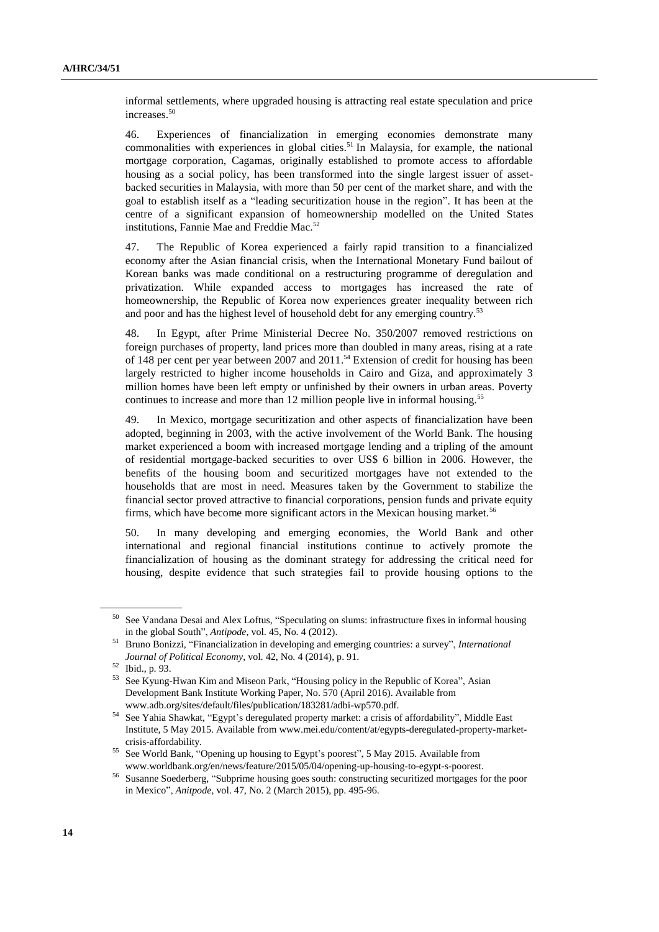informal settlements, where upgraded housing is attracting real estate speculation and price increases.<sup>50</sup>

46. Experiences of financialization in emerging economies demonstrate many commonalities with experiences in global cities.<sup>51</sup> In Malaysia, for example, the national mortgage corporation, Cagamas, originally established to promote access to affordable housing as a social policy, has been transformed into the single largest issuer of assetbacked securities in Malaysia, with more than 50 per cent of the market share, and with the goal to establish itself as a "leading securitization house in the region". It has been at the centre of a significant expansion of homeownership modelled on the United States institutions, Fannie Mae and Freddie Mac.<sup>52</sup>

47. The Republic of Korea experienced a fairly rapid transition to a financialized economy after the Asian financial crisis, when the International Monetary Fund bailout of Korean banks was made conditional on a restructuring programme of deregulation and privatization. While expanded access to mortgages has increased the rate of homeownership, the Republic of Korea now experiences greater inequality between rich and poor and has the highest level of household debt for any emerging country.<sup>53</sup>

48. In Egypt, after Prime Ministerial Decree No. 350/2007 removed restrictions on foreign purchases of property, land prices more than doubled in many areas, rising at a rate of 148 per cent per year between 2007 and 2011. <sup>54</sup> Extension of credit for housing has been largely restricted to higher income households in Cairo and Giza, and approximately 3 million homes have been left empty or unfinished by their owners in urban areas. Poverty continues to increase and more than 12 million people live in informal housing.<sup>55</sup>

49. In Mexico, mortgage securitization and other aspects of financialization have been adopted, beginning in 2003, with the active involvement of the World Bank. The housing market experienced a boom with increased mortgage lending and a tripling of the amount of residential mortgage-backed securities to over US\$ 6 billion in 2006. However, the benefits of the housing boom and securitized mortgages have not extended to the households that are most in need. Measures taken by the Government to stabilize the financial sector proved attractive to financial corporations, pension funds and private equity firms, which have become more significant actors in the Mexican housing market.<sup>56</sup>

50. In many developing and emerging economies, the World Bank and other international and regional financial institutions continue to actively promote the financialization of housing as the dominant strategy for addressing the critical need for housing, despite evidence that such strategies fail to provide housing options to the

<sup>50</sup> See Vandana Desai and Alex Loftus, "Speculating on slums: infrastructure fixes in informal housing in the global South", *Antipode*, vol. 45, No. 4 (2012).

<sup>51</sup> Bruno Bonizzi, "Financialization in developing and emerging countries: a survey", *International Journal of Political Economy*, vol. 42, No. 4 (2014), p. 91.

<sup>52</sup> Ibid., p. 93.

<sup>&</sup>lt;sup>53</sup> See Kyung-Hwan Kim and Miseon Park, "Housing policy in the Republic of Korea", Asian Development Bank Institute Working Paper, No. 570 (April 2016). Available from www.adb.org/sites/default/files/publication/183281/adbi-wp570.pdf.

<sup>54</sup> See Yahia Shawkat, "Egypt's deregulated property market: a crisis of affordability", Middle East Institute, 5 May 2015. Available from www.mei.edu/content/at/egypts-deregulated-property-marketcrisis-affordability.

<sup>&</sup>lt;sup>55</sup> See World Bank, "Opening up housing to Egypt's poorest", 5 May 2015. Available from www.worldbank.org/en/news/feature/2015/05/04/opening-up-housing-to-egypt-s-poorest.

<sup>56</sup> Susanne Soederberg, "Subprime housing goes south: constructing securitized mortgages for the poor in Mexico", *Anitpode*, vol. 47, No. 2 (March 2015), pp. 495-96.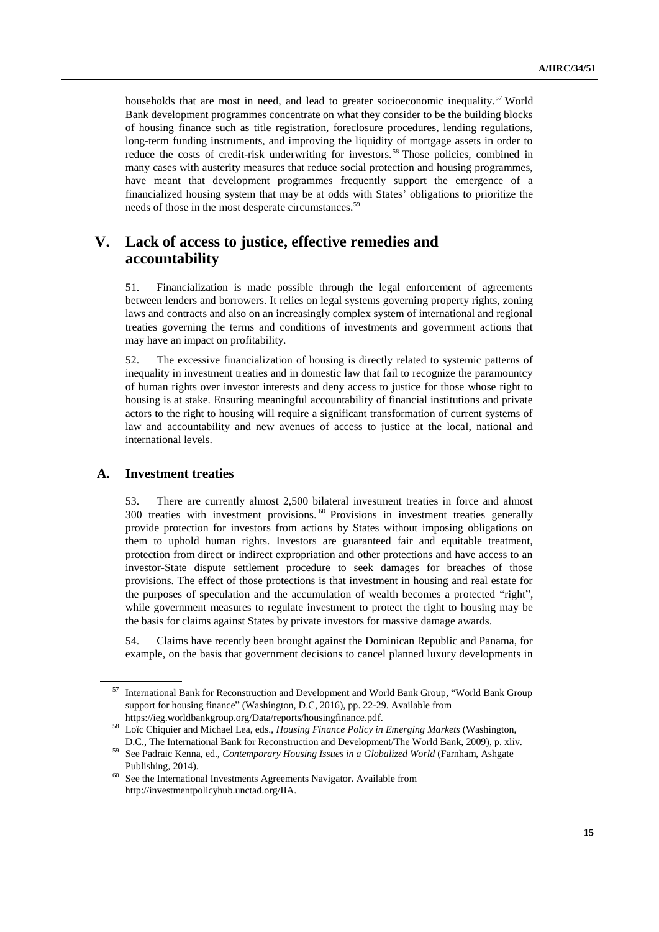households that are most in need, and lead to greater socioeconomic inequality.<sup>57</sup> World Bank development programmes concentrate on what they consider to be the building blocks of housing finance such as title registration, foreclosure procedures, lending regulations, long-term funding instruments, and improving the liquidity of mortgage assets in order to reduce the costs of credit-risk underwriting for investors.<sup>58</sup> Those policies, combined in many cases with austerity measures that reduce social protection and housing programmes, have meant that development programmes frequently support the emergence of a financialized housing system that may be at odds with States' obligations to prioritize the needs of those in the most desperate circumstances.<sup>59</sup>

# **V. Lack of access to justice, effective remedies and accountability**

51. Financialization is made possible through the legal enforcement of agreements between lenders and borrowers. It relies on legal systems governing property rights, zoning laws and contracts and also on an increasingly complex system of international and regional treaties governing the terms and conditions of investments and government actions that may have an impact on profitability.

52. The excessive financialization of housing is directly related to systemic patterns of inequality in investment treaties and in domestic law that fail to recognize the paramountcy of human rights over investor interests and deny access to justice for those whose right to housing is at stake. Ensuring meaningful accountability of financial institutions and private actors to the right to housing will require a significant transformation of current systems of law and accountability and new avenues of access to justice at the local, national and international levels.

### **A. Investment treaties**

53. There are currently almost 2,500 bilateral investment treaties in force and almost 300 treaties with investment provisions. <sup>60</sup> Provisions in investment treaties generally provide protection for investors from actions by States without imposing obligations on them to uphold human rights. Investors are guaranteed fair and equitable treatment, protection from direct or indirect expropriation and other protections and have access to an investor-State dispute settlement procedure to seek damages for breaches of those provisions. The effect of those protections is that investment in housing and real estate for the purposes of speculation and the accumulation of wealth becomes a protected "right", while government measures to regulate investment to protect the right to housing may be the basis for claims against States by private investors for massive damage awards.

54. Claims have recently been brought against the Dominican Republic and Panama, for example, on the basis that government decisions to cancel planned luxury developments in

<sup>57</sup> International Bank for Reconstruction and Development and World Bank Group, "World Bank Group support for housing finance" (Washington, D.C, 2016), pp. 22-29. Available from [https://ieg.worldbankgroup.org/Data/reports/housingfinance.pdf.](https://ieg.worldbankgroup.org/Data/reports/housingfinance.pdf)

<sup>58</sup> Loïc Chiquier and Michael Lea, eds., *Housing Finance Policy in Emerging Markets* (Washington, D.C., The International Bank for Reconstruction and Development/The World Bank, 2009), p. xliv.

<sup>59</sup> See Padraic Kenna, ed., *Contemporary Housing Issues in a Globalized World* (Farnham, Ashgate Publishing, 2014).

<sup>&</sup>lt;sup>60</sup> See the International Investments Agreements Navigator. Available from http://investmentpolicyhub.unctad.org/IIA.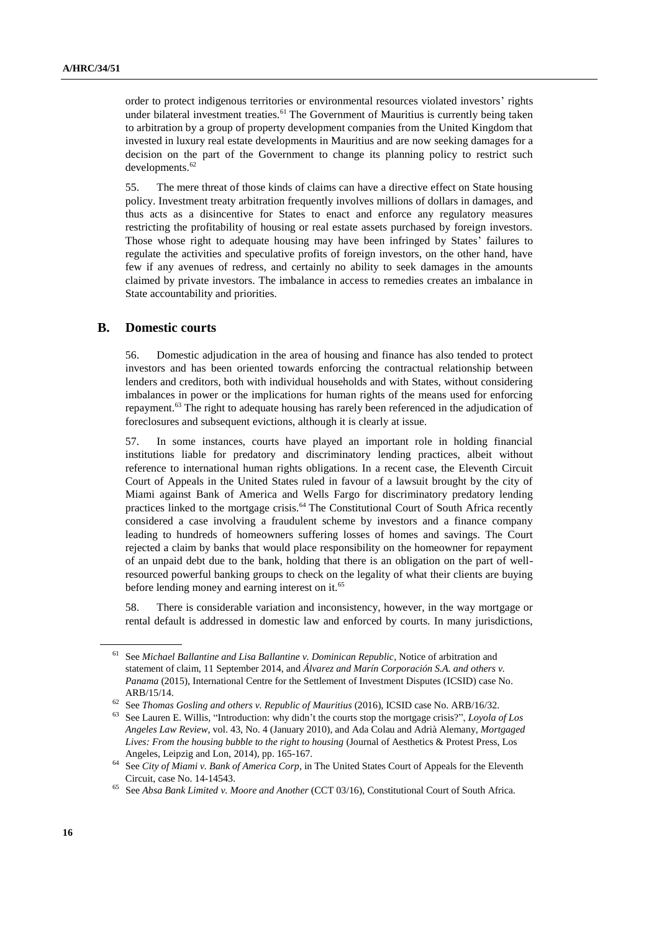order to protect indigenous territories or environmental resources violated investors' rights under bilateral investment treaties.<sup>61</sup> The Government of Mauritius is currently being taken to arbitration by a group of property development companies from the United Kingdom that invested in luxury real estate developments in Mauritius and are now seeking damages for a decision on the part of the Government to change its planning policy to restrict such developments.<sup>62</sup>

55. The mere threat of those kinds of claims can have a directive effect on State housing policy. Investment treaty arbitration frequently involves millions of dollars in damages, and thus acts as a disincentive for States to enact and enforce any regulatory measures restricting the profitability of housing or real estate assets purchased by foreign investors. Those whose right to adequate housing may have been infringed by States' failures to regulate the activities and speculative profits of foreign investors, on the other hand, have few if any avenues of redress, and certainly no ability to seek damages in the amounts claimed by private investors. The imbalance in access to remedies creates an imbalance in State accountability and priorities.

### **B. Domestic courts**

56. Domestic adjudication in the area of housing and finance has also tended to protect investors and has been oriented towards enforcing the contractual relationship between lenders and creditors, both with individual households and with States, without considering imbalances in power or the implications for human rights of the means used for enforcing repayment.<sup>63</sup> The right to adequate housing has rarely been referenced in the adjudication of foreclosures and subsequent evictions, although it is clearly at issue.

57. In some instances, courts have played an important role in holding financial institutions liable for predatory and discriminatory lending practices, albeit without reference to international human rights obligations. In a recent case, the Eleventh Circuit Court of Appeals in the United States ruled in favour of a lawsuit brought by the city of Miami against Bank of America and Wells Fargo for discriminatory predatory lending practices linked to the mortgage crisis.<sup>64</sup> The Constitutional Court of South Africa recently considered a case involving a fraudulent scheme by investors and a finance company leading to hundreds of homeowners suffering losses of homes and savings. The Court rejected a claim by banks that would place responsibility on the homeowner for repayment of an unpaid debt due to the bank, holding that there is an obligation on the part of wellresourced powerful banking groups to check on the legality of what their clients are buying before lending money and earning interest on it.<sup>65</sup>

58. There is considerable variation and inconsistency, however, in the way mortgage or rental default is addressed in domestic law and enforced by courts. In many jurisdictions,

<sup>61</sup> See *Michael Ballantine and Lisa Ballantine v. Dominican Republic*, Notice of arbitration and statement of claim, 11 September 2014, and *Álvarez and Marín Corporación S.A. and others v. Panama* (2015), International Centre for the Settlement of Investment Disputes (ICSID) case No. ARB/15/14.

<sup>62</sup> See *Thomas Gosling and others v. Republic of Mauritius* (2016), ICSID case No. ARB/16/32.

<sup>63</sup> See Lauren E. Willis, "Introduction: why didn't the courts stop the mortgage crisis?", *Loyola of Los Angeles Law Review*, vol. 43, No. 4 (January 2010), and Ada Colau and Adrià Alemany, *Mortgaged Lives: From the housing bubble to the right to housing* (Journal of Aesthetics & Protest Press, Los Angeles, Leipzig and Lon, 2014), pp. 165-167.

<sup>64</sup> See *City of Miami v. Bank of America Corp*, in The United States Court of Appeals for the Eleventh Circuit, case No. 14-14543.

<sup>65</sup> See *Absa Bank Limited v. Moore and Another* (CCT 03/16), Constitutional Court of South Africa.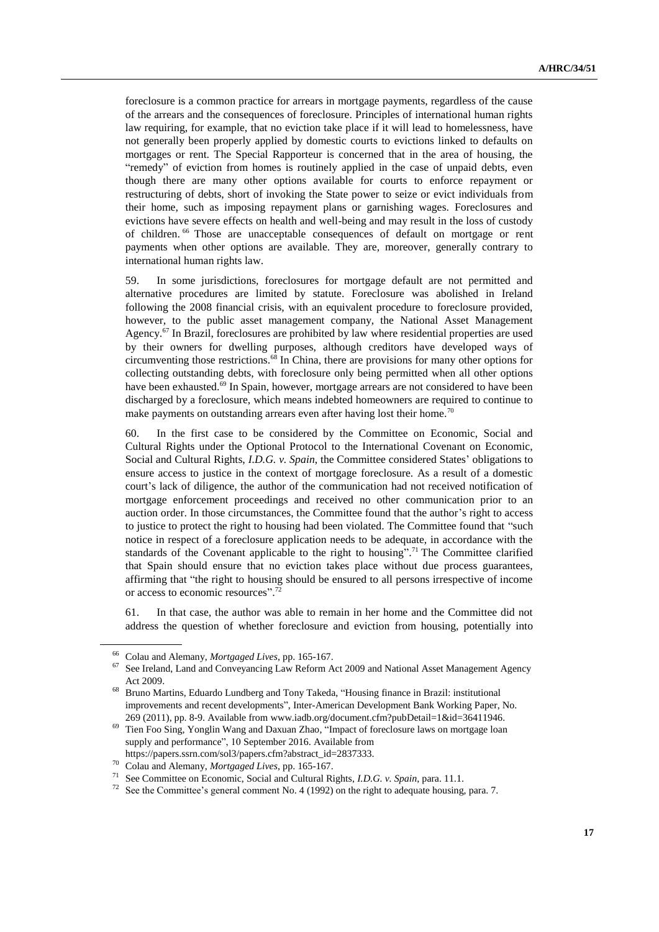foreclosure is a common practice for arrears in mortgage payments, regardless of the cause of the arrears and the consequences of foreclosure. Principles of international human rights law requiring, for example, that no eviction take place if it will lead to homelessness, have not generally been properly applied by domestic courts to evictions linked to defaults on mortgages or rent. The Special Rapporteur is concerned that in the area of housing, the "remedy" of eviction from homes is routinely applied in the case of unpaid debts, even though there are many other options available for courts to enforce repayment or restructuring of debts, short of invoking the State power to seize or evict individuals from their home, such as imposing repayment plans or garnishing wages. Foreclosures and evictions have severe effects on health and well-being and may result in the loss of custody of children. <sup>66</sup> Those are unacceptable consequences of default on mortgage or rent payments when other options are available. They are, moreover, generally contrary to international human rights law.

59. In some jurisdictions, foreclosures for mortgage default are not permitted and alternative procedures are limited by statute. Foreclosure was abolished in Ireland following the 2008 financial crisis, with an equivalent procedure to foreclosure provided, however, to the public asset management company, the National Asset Management Agency.<sup>67</sup> In Brazil, foreclosures are prohibited by law where residential properties are used by their owners for dwelling purposes, although creditors have developed ways of circumventing those restrictions. $^{68}$  In China, there are provisions for many other options for collecting outstanding debts, with foreclosure only being permitted when all other options have been exhausted.<sup>69</sup> In Spain, however, mortgage arrears are not considered to have been discharged by a foreclosure, which means indebted homeowners are required to continue to make payments on outstanding arrears even after having lost their home.<sup>70</sup>

60. In the first case to be considered by the Committee on Economic, Social and Cultural Rights under the Optional Protocol to the International Covenant on Economic, Social and Cultural Rights, *I.D.G. v. Spain*, the Committee considered States' obligations to ensure access to justice in the context of mortgage foreclosure. As a result of a domestic court's lack of diligence, the author of the communication had not received notification of mortgage enforcement proceedings and received no other communication prior to an auction order. In those circumstances, the Committee found that the author's right to access to justice to protect the right to housing had been violated. The Committee found that "such notice in respect of a foreclosure application needs to be adequate, in accordance with the standards of the Covenant applicable to the right to housing".<sup>71</sup> The Committee clarified that Spain should ensure that no eviction takes place without due process guarantees, affirming that "the right to housing should be ensured to all persons irrespective of income or access to economic resources".<sup>72</sup>

61. In that case, the author was able to remain in her home and the Committee did not address the question of whether foreclosure and eviction from housing, potentially into

<sup>66</sup> Colau and Alemany, *Mortgaged Lives*, pp. 165-167.

 $67$  See Ireland, Land and Conveyancing Law Reform Act 2009 and National Asset Management Agency Act 2009.

<sup>68</sup> Bruno Martins, Eduardo Lundberg and Tony Takeda, "Housing finance in Brazil: institutional improvements and recent developments", Inter-American Development Bank Working Paper, No. 269 (2011), pp. 8-9. Available fro[m www.iadb.org/document.cfm?pubDetail=1&id=36411946.](http://www.iadb.org/document.cfm?pubDetail=1&id=36411946)

<sup>69</sup> Tien Foo Sing, Yonglin Wang and Daxuan Zhao, "Impact of foreclosure laws on mortgage loan supply and performance", 10 September 2016. Available from

https://papers.ssrn.com/sol3/papers.cfm?abstract\_id=2837333.

<sup>70</sup> Colau and Alemany, *Mortgaged Lives*, pp. 165-167.

<sup>71</sup> See Committee on Economic, Social and Cultural Rights, *I.D.G. v. Spain*, para. 11.1.

See the Committee's general comment No. 4 (1992) on the right to adequate housing, para. 7.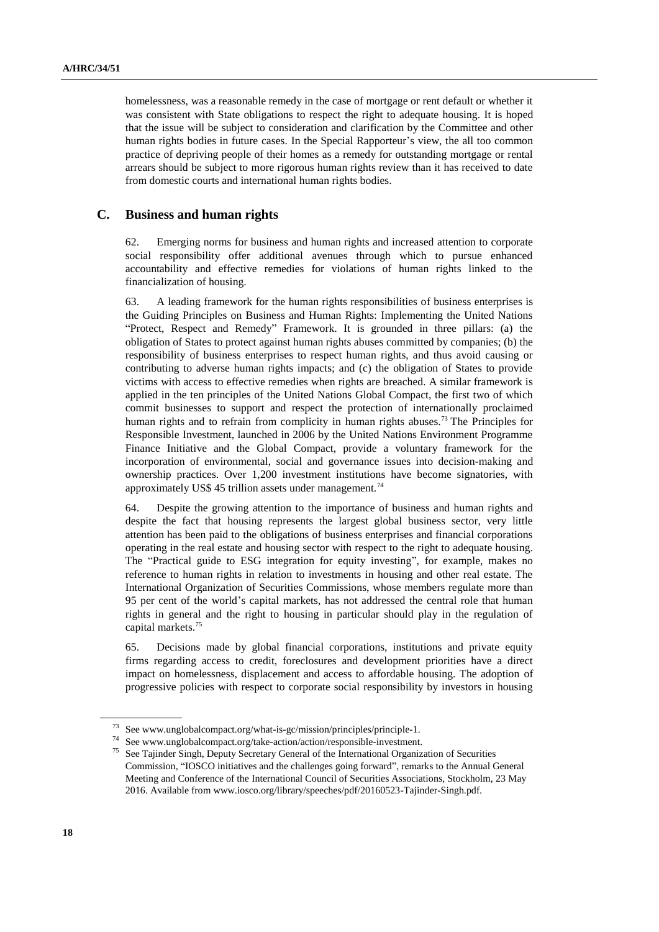homelessness, was a reasonable remedy in the case of mortgage or rent default or whether it was consistent with State obligations to respect the right to adequate housing. It is hoped that the issue will be subject to consideration and clarification by the Committee and other human rights bodies in future cases. In the Special Rapporteur's view, the all too common practice of depriving people of their homes as a remedy for outstanding mortgage or rental arrears should be subject to more rigorous human rights review than it has received to date from domestic courts and international human rights bodies.

### **C. Business and human rights**

62. Emerging norms for business and human rights and increased attention to corporate social responsibility offer additional avenues through which to pursue enhanced accountability and effective remedies for violations of human rights linked to the financialization of housing.

63. A leading framework for the human rights responsibilities of business enterprises is the Guiding Principles on Business and Human Rights: Implementing the United Nations "Protect, Respect and Remedy" Framework. It is grounded in three pillars: (a) the obligation of States to protect against human rights abuses committed by companies; (b) the responsibility of business enterprises to respect human rights, and thus avoid causing or contributing to adverse human rights impacts; and (c) the obligation of States to provide victims with access to effective remedies when rights are breached. A similar framework is applied in the ten principles of the United Nations Global Compact, the first two of which commit businesses to support and respect the protection of internationally proclaimed human rights and to refrain from complicity in human rights abuses.<sup>73</sup> The Principles for Responsible Investment, launched in 2006 by the United Nations Environment Programme Finance Initiative and the Global Compact, provide a voluntary framework for the incorporation of environmental, social and governance issues into decision-making and ownership practices. Over 1,200 investment institutions have become signatories, with approximately US\$ 45 trillion assets under management.<sup>74</sup>

64. Despite the growing attention to the importance of business and human rights and despite the fact that housing represents the largest global business sector, very little attention has been paid to the obligations of business enterprises and financial corporations operating in the real estate and housing sector with respect to the right to adequate housing. The "Practical guide to ESG integration for equity investing", for example, makes no reference to human rights in relation to investments in housing and other real estate. The International Organization of Securities Commissions, whose members regulate more than 95 per cent of the world's capital markets, has not addressed the central role that human rights in general and the right to housing in particular should play in the regulation of capital markets.<sup>75</sup>

65. Decisions made by global financial corporations, institutions and private equity firms regarding access to credit, foreclosures and development priorities have a direct impact on homelessness, displacement and access to affordable housing. The adoption of progressive policies with respect to corporate social responsibility by investors in housing

<sup>73</sup> Se[e www.unglobalcompact.org/what-is-gc/mission/principles/principle-1.](file:///C:/Users/isomova/AppData/Local/Temp/www.unglobalcompact.org/what-is-gc/mission/principles/principle-1)

<sup>74</sup> See www.unglobalcompact.org/take-action/action/responsible-investment.

See Tajinder Singh, Deputy Secretary General of the International Organization of Securities Commission, "IOSCO initiatives and the challenges going forward", remarks to the Annual General Meeting and Conference of the International Council of Securities Associations, Stockholm, 23 May 2016. Available from www.iosco.org/library/speeches/pdf/20160523-Tajinder-Singh.pdf.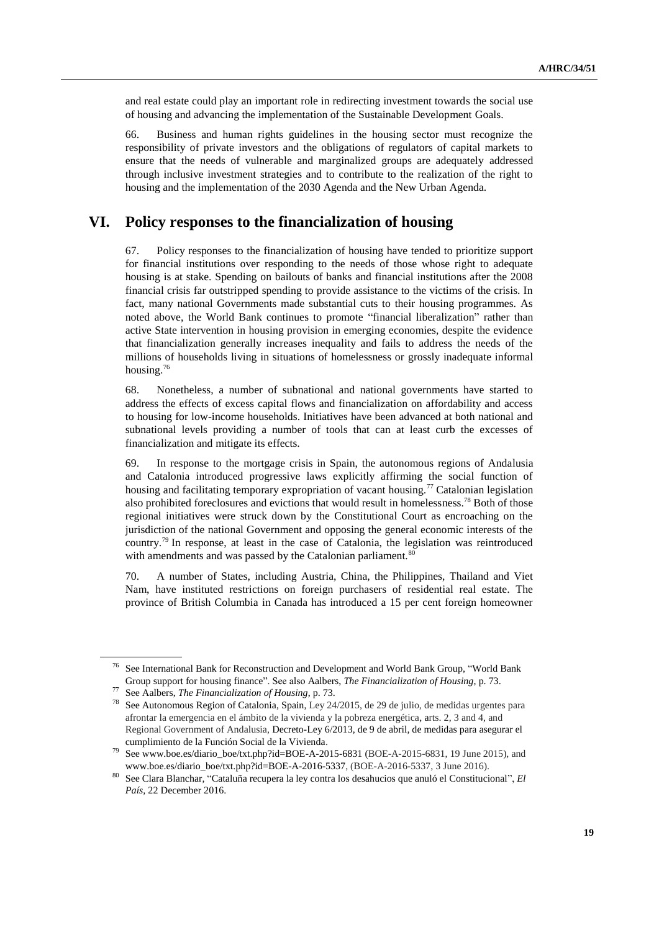and real estate could play an important role in redirecting investment towards the social use of housing and advancing the implementation of the Sustainable Development Goals.

66. Business and human rights guidelines in the housing sector must recognize the responsibility of private investors and the obligations of regulators of capital markets to ensure that the needs of vulnerable and marginalized groups are adequately addressed through inclusive investment strategies and to contribute to the realization of the right to housing and the implementation of the 2030 Agenda and the New Urban Agenda.

## **VI. Policy responses to the financialization of housing**

67. Policy responses to the financialization of housing have tended to prioritize support for financial institutions over responding to the needs of those whose right to adequate housing is at stake. Spending on bailouts of banks and financial institutions after the 2008 financial crisis far outstripped spending to provide assistance to the victims of the crisis. In fact, many national Governments made substantial cuts to their housing programmes. As noted above, the World Bank continues to promote "financial liberalization" rather than active State intervention in housing provision in emerging economies, despite the evidence that financialization generally increases inequality and fails to address the needs of the millions of households living in situations of homelessness or grossly inadequate informal housing.<sup>76</sup>

68. Nonetheless, a number of subnational and national governments have started to address the effects of excess capital flows and financialization on affordability and access to housing for low-income households. Initiatives have been advanced at both national and subnational levels providing a number of tools that can at least curb the excesses of financialization and mitigate its effects.

69. In response to the mortgage crisis in Spain, the autonomous regions of Andalusia and Catalonia introduced progressive laws explicitly affirming the social function of housing and facilitating temporary expropriation of vacant housing.<sup>77</sup> Catalonian legislation also prohibited foreclosures and evictions that would result in homelessness.<sup>78</sup> Both of those regional initiatives were struck down by the Constitutional Court as encroaching on the jurisdiction of the national Government and opposing the general economic interests of the country.<sup>79</sup> In response, at least in the case of Catalonia, the legislation was reintroduced with amendments and was passed by the Catalonian parliament.<sup>80</sup>

70. A number of States, including Austria, China, the Philippines, Thailand and Viet Nam, have instituted restrictions on foreign purchasers of residential real estate. The province of British Columbia in Canada has introduced a 15 per cent foreign homeowner

<sup>76</sup> See International Bank for Reconstruction and Development and World Bank Group, "World Bank Group support for housing finance". See also Aalbers, *The Financialization of Housing*, p. 73.

<sup>77</sup> See Aalbers, *The Financialization of Housing*, p. 73.

<sup>&</sup>lt;sup>78</sup> See Autonomous Region of Catalonia, Spain, Ley 24/2015, de 29 de julio, de medidas urgentes para afrontar la emergencia en el ámbito de la vivienda y la pobreza energética, arts. 2, 3 and 4, and Regional Government of Andalusia, Decreto-Ley 6/2013, de 9 de abril, de medidas para asegurar el cumplimiento de la Función Social de la Vivienda.

<sup>79</sup> Se[e www.boe.es/diario\\_boe/txt.php?id=BOE-A-2015-6831](http://www.boe.es/diario_boe/txt.php?id=BOE-A-2015-6831) (BOE-A-2015-6831, 19 June 2015), and [www.boe.es/diario\\_boe/txt.php?id=BOE-A-2016-5337,](http://www.boe.es/diario_boe/txt.php?id=BOE-A-2016-5337) (BOE-A-2016-5337, 3 June 2016).

<sup>80</sup> See Clara Blanchar, "Cataluña recupera la ley contra los desahucios que anuló el Constitucional", *El País*, 22 December 2016.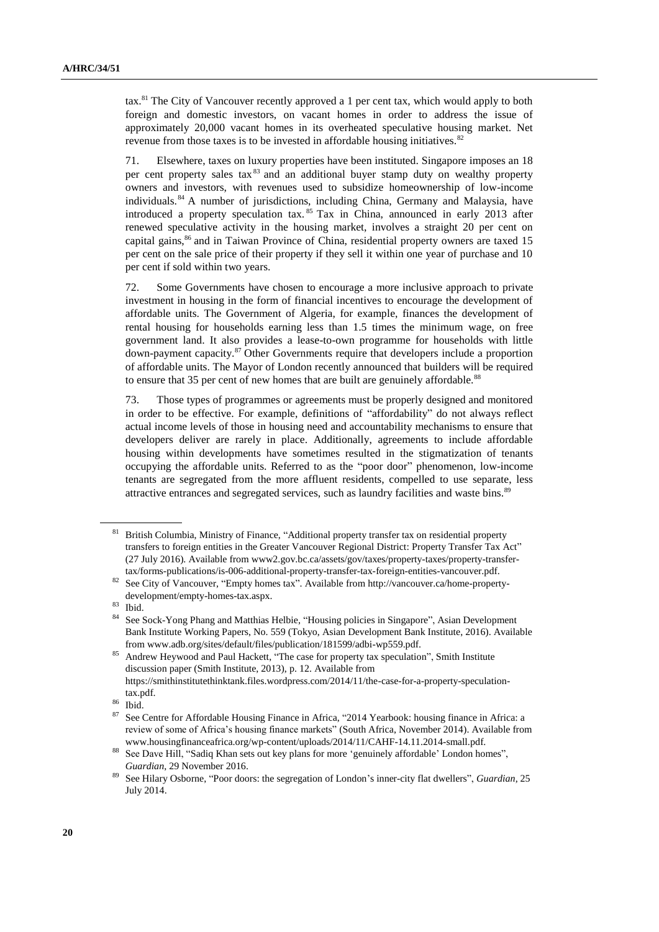tax.<sup>81</sup> The City of Vancouver recently approved a 1 per cent tax, which would apply to both foreign and domestic investors, on vacant homes in order to address the issue of approximately 20,000 vacant homes in its overheated speculative housing market. Net revenue from those taxes is to be invested in affordable housing initiatives.<sup>82</sup>

71. Elsewhere, taxes on luxury properties have been instituted. Singapore imposes an 18 per cent property sales tax<sup>83</sup> and an additional buyer stamp duty on wealthy property owners and investors, with revenues used to subsidize homeownership of low-income individuals.<sup>84</sup> A number of jurisdictions, including China, Germany and Malaysia, have introduced a property speculation tax. <sup>85</sup> Tax in China, announced in early 2013 after renewed speculative activity in the housing market, involves a straight 20 per cent on capital gains, $^{86}$  and in Taiwan Province of China, residential property owners are taxed 15 per cent on the sale price of their property if they sell it within one year of purchase and 10 per cent if sold within two years.

72. Some Governments have chosen to encourage a more inclusive approach to private investment in housing in the form of financial incentives to encourage the development of affordable units. The Government of Algeria, for example, finances the development of rental housing for households earning less than 1.5 times the minimum wage, on free government land. It also provides a lease-to-own programme for households with little down-payment capacity.<sup>87</sup> Other Governments require that developers include a proportion of affordable units. The Mayor of London recently announced that builders will be required to ensure that 35 per cent of new homes that are built are genuinely affordable.<sup>88</sup>

73. Those types of programmes or agreements must be properly designed and monitored in order to be effective. For example, definitions of "affordability" do not always reflect actual income levels of those in housing need and accountability mechanisms to ensure that developers deliver are rarely in place. Additionally, agreements to include affordable housing within developments have sometimes resulted in the stigmatization of tenants occupying the affordable units. Referred to as the "poor door" phenomenon, low-income tenants are segregated from the more affluent residents, compelled to use separate, less attractive entrances and segregated services, such as laundry facilities and waste bins.<sup>89</sup>

<sup>81</sup> British Columbia, Ministry of Finance, "Additional property transfer tax on residential property transfers to foreign entities in the Greater Vancouver Regional District: Property Transfer Tax Act" (27 July 2016). Available from www2.gov.bc.ca/assets/gov/taxes/property-taxes/property-transfertax/forms-publications/is-006-additional-property-transfer-tax-foreign-entities-vancouver.pdf.

<sup>82</sup> See City of Vancouver, "Empty homes tax". Available from http://vancouver.ca/home-propertydevelopment/empty-homes-tax.aspx.

<sup>83</sup> Ibid.

<sup>84</sup> See Sock-Yong Phang and Matthias Helbie, "Housing policies in Singapore", Asian Development Bank Institute Working Papers, No. 559 (Tokyo, Asian Development Bank Institute, 2016). Available from www.adb.org/sites/default/files/publication/181599/adbi-wp559.pdf.

<sup>&</sup>lt;sup>85</sup> Andrew Heywood and Paul Hackett, "The case for property tax speculation", Smith Institute discussion paper (Smith Institute, 2013), p. 12. Available from [https://smithinstitutethinktank.files.wordpress.com/2014/11/the-case-for-a-property-speculation](https://smithinstitutethinktank.files.wordpress.com/2014/11/the-case-for-a-property-speculation-tax.pdf)[tax.pdf.](https://smithinstitutethinktank.files.wordpress.com/2014/11/the-case-for-a-property-speculation-tax.pdf)

<sup>86</sup> Ibid.

<sup>87</sup> See Centre for Affordable Housing Finance in Africa, "2014 Yearbook: housing finance in Africa: a review of some of Africa's housing finance markets" (South Africa, November 2014). Available from [www.housingfinanceafrica.org/wp-content/uploads/2014/11/CAHF-14.11.2014-small.pdf.](file:///C:/Users/isomova/AppData/Local/Temp/www.housingfinanceafrica.org/wp-content/uploads/2014/11/CAHF-14.11.2014-small.pdf)

<sup>&</sup>lt;sup>88</sup> See Dave Hill, "Sadiq Khan sets out key plans for more 'genuinely affordable' London homes", *Guardian*, 29 November 2016.

<sup>89</sup> See Hilary Osborne, "Poor doors: the segregation of London's inner-city flat dwellers", *Guardian*, 25 July 2014.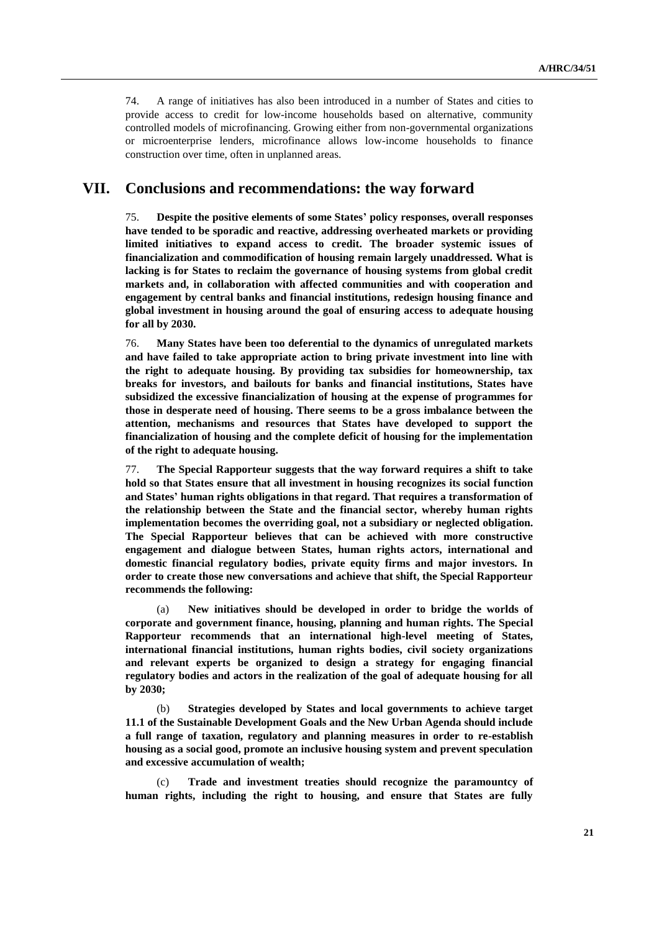74. A range of initiatives has also been introduced in a number of States and cities to provide access to credit for low-income households based on alternative, community controlled models of microfinancing. Growing either from non-governmental organizations or microenterprise lenders, microfinance allows low-income households to finance construction over time, often in unplanned areas.

## **VII. Conclusions and recommendations: the way forward**

75. **Despite the positive elements of some States' policy responses, overall responses have tended to be sporadic and reactive, addressing overheated markets or providing limited initiatives to expand access to credit. The broader systemic issues of financialization and commodification of housing remain largely unaddressed. What is lacking is for States to reclaim the governance of housing systems from global credit markets and, in collaboration with affected communities and with cooperation and engagement by central banks and financial institutions, redesign housing finance and global investment in housing around the goal of ensuring access to adequate housing for all by 2030.**

76. **Many States have been too deferential to the dynamics of unregulated markets and have failed to take appropriate action to bring private investment into line with the right to adequate housing. By providing tax subsidies for homeownership, tax breaks for investors, and bailouts for banks and financial institutions, States have subsidized the excessive financialization of housing at the expense of programmes for those in desperate need of housing. There seems to be a gross imbalance between the attention, mechanisms and resources that States have developed to support the financialization of housing and the complete deficit of housing for the implementation of the right to adequate housing.** 

77. **The Special Rapporteur suggests that the way forward requires a shift to take hold so that States ensure that all investment in housing recognizes its social function and States' human rights obligations in that regard. That requires a transformation of the relationship between the State and the financial sector, whereby human rights implementation becomes the overriding goal, not a subsidiary or neglected obligation. The Special Rapporteur believes that can be achieved with more constructive engagement and dialogue between States, human rights actors, international and domestic financial regulatory bodies, private equity firms and major investors. In order to create those new conversations and achieve that shift, the Special Rapporteur recommends the following:**

(a) **New initiatives should be developed in order to bridge the worlds of corporate and government finance, housing, planning and human rights. The Special Rapporteur recommends that an international high-level meeting of States, international financial institutions, human rights bodies, civil society organizations and relevant experts be organized to design a strategy for engaging financial regulatory bodies and actors in the realization of the goal of adequate housing for all by 2030;** 

(b) **Strategies developed by States and local governments to achieve target 11.1 of the Sustainable Development Goals and the New Urban Agenda should include a full range of taxation, regulatory and planning measures in order to re-establish housing as a social good, promote an inclusive housing system and prevent speculation and excessive accumulation of wealth;** 

(c) **Trade and investment treaties should recognize the paramountcy of human rights, including the right to housing, and ensure that States are fully**